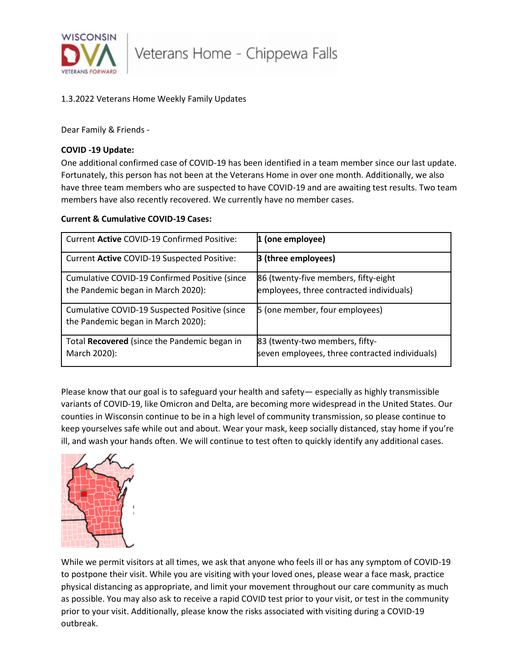

## 1.3.2022 Veterans Home Weekly Family Updates

Dear Family & Friends -

## **COVID -19 Update:**

One additional confirmed case of COVID-19 has been identified in a team member since our last update. Fortunately, this person has not been at the Veterans Home in over one month. Additionally, we also have three team members who are suspected to have COVID-19 and are awaiting test results. Two team members have also recently recovered. We currently have no member cases.

## **Current & Cumulative COVID-19 Cases:**

| Current Active COVID-19 Confirmed Positive:                                         | 1 (one employee)                                                                 |
|-------------------------------------------------------------------------------------|----------------------------------------------------------------------------------|
| Current Active COVID-19 Suspected Positive:                                         | <b>B</b> (three employees)                                                       |
| Cumulative COVID-19 Confirmed Positive (since<br>the Pandemic began in March 2020): | 86 (twenty-five members, fifty-eight<br>employees, three contracted individuals) |
| Cumulative COVID-19 Suspected Positive (since<br>the Pandemic began in March 2020): | 5 (one member, four employees)                                                   |
| Total Recovered (since the Pandemic began in<br>March 2020):                        | 83 (twenty-two members, fifty-<br>seven employees, three contracted individuals) |

Please know that our goal is to safeguard your health and safety— especially as highly transmissible variants of COVID-19, like Omicron and Delta, are becoming more widespread in the United States. Our counties in Wisconsin continue to be in a high level of community transmission, so please continue to keep yourselves safe while out and about. Wear your mask, keep socially distanced, stay home if you're ill, and wash your hands often. We will continue to test often to quickly identify any additional cases.



While we permit visitors at all times, we ask that anyone who feels ill or has any symptom of COVID-19 to postpone their visit. While you are visiting with your loved ones, please wear a face mask, practice physical distancing as appropriate, and limit your movement throughout our care community as much as possible. You may also ask to receive a rapid COVID test prior to your visit, or test in the community prior to your visit. Additionally, please know the risks associated with visiting during a COVID-19 outbreak.